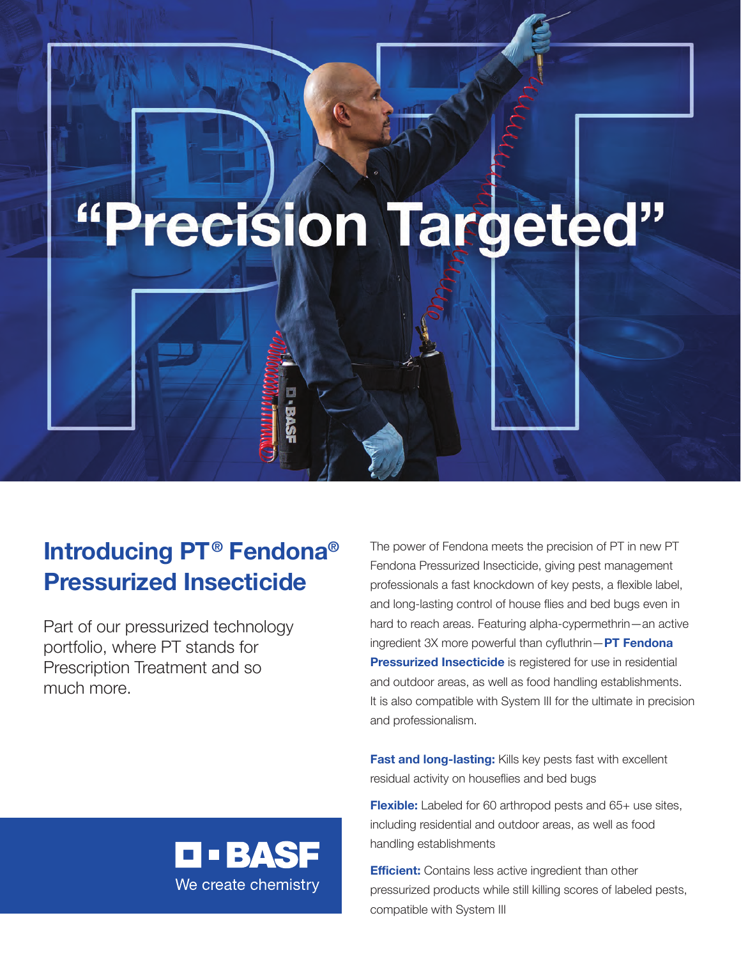# "Precision Targeted"

## **Introducing PT® Fendona® Pressurized Insecticide**

Part of our pressurized technology portfolio, where PT stands for Prescription Treatment and so much more.

The power of Fendona meets the precision of PT in new PT Fendona Pressurized Insecticide, giving pest management professionals a fast knockdown of key pests, a flexible label, and long-lasting control of house flies and bed bugs even in hard to reach areas. Featuring alpha-cypermethrin—an active ingredient 3X more powerful than cyfluthrin—**PT Fendona Pressurized Insecticide** is registered for use in residential and outdoor areas, as well as food handling establishments. It is also compatible with System III for the ultimate in precision and professionalism.

**Fast and long-lasting:** Kills key pests fast with excellent residual activity on houseflies and bed bugs

**Flexible:** Labeled for 60 arthropod pests and 65+ use sites, including residential and outdoor areas, as well as food handling establishments

**Efficient:** Contains less active ingredient than other pressurized products while still killing scores of labeled pests, compatible with System III

**O • BASF** We create chemistry